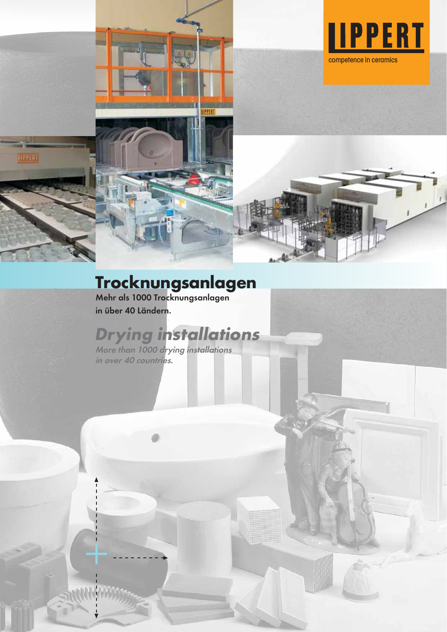

# **Trocknungsanlagen**

**IPPERT** 

Mehr als 1000 Trocknungsanlagen in über 40 Ländern.

# **Drying installations**

in over 40 countries. More than 1000 drying installations

 $\ddotplus$ 

THEFT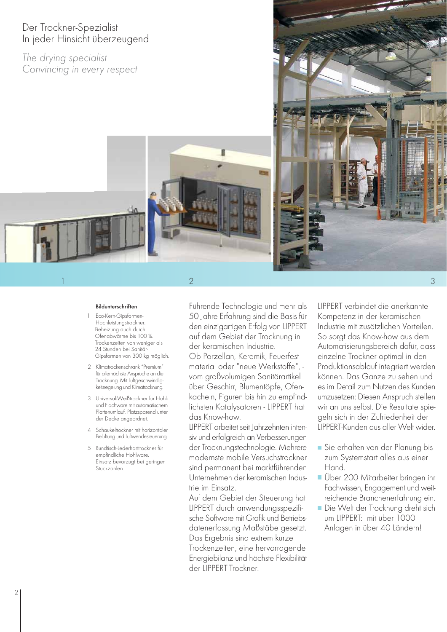# Der Trockner-Spezialist In jeder Hinsicht überzeugend

The drying specialist Convincing in every respect



#### Bildunterschriften

- Eco-Kern-Gipsformen-Hochleistungstrockner. Beheizung auch durch Ofenabwärme bis 100 %. Trockenzeiten von weniger als 24 Stunden bei Sanitär-Gipsformen von 300 kg möglich.
- 2 Klimatrockenschrank "Premium" für allerhöchste Ansprüche an die Trocknung. Mit Luftgeschwindigkeitsregelung und Klimatrocknung.
- 3 Universal-Weißtrockner für Hohl und Flachware mit automatischem Plattenumlauf. Platzsparend unter der Decke angeordnet.
- 4 Schaukeltrockner mit horizontaler Belüftung und Luftwendesteuerung.
- 5 Rundtisch-Lederharttrockner für empfindliche Hohlware. Einsatz bevorzugt bei geringen Stückzahlen.

Führende Technologie und mehr als 50 Jahre Erfahrung sind die Basis für den einzigartigen Erfolg von LIPPERT auf dem Gebiet der Trocknung in der keramischen Industrie. Ob Porzellan, Keramik, Feuerfestmaterial oder "neue Werkstoffe", vom großvolumigen Sanitärartikel über Geschirr, Blumentöpfe, Ofenkacheln, Figuren bis hin zu empfindlichsten Katalysatoren - LIPPERT hat das Know-how.

LIPPERT arbeitet seit Jahrzehnten intensiv und erfolgreich an Verbesserungen der Trocknungstechnologie. Mehrere modernste mobile Versuchstrockner sind permanent bei marktführenden Unternehmen der keramischen Industrie im Einsatz.

Auf dem Gebiet der Steuerung hat LIPPERT durch anwendungsspezifische Software mit Grafik und Betriebsdatenerfassung Maßstäbe gesetzt. Das Ergebnis sind extrem kurze Trockenzeiten, eine hervorragende Energiebilanz und höchste Flexibilität der LIPPERT-Trockner.

LIPPERT verbindet die anerkannte Kompetenz in der keramischen Industrie mit zusätzlichen Vorteilen. So sorgt das Know-how aus dem Automatisierungsbereich dafür, dass einzelne Trockner optimal in den Produktionsablauf integriert werden können. Das Ganze zu sehen und es im Detail zum Nutzen des Kunden umzusetzen: Diesen Anspruch stellen wir an uns selbst. Die Resultate spiegeln sich in der Zufriedenheit der LIPPERT-Kunden aus aller Welt wider.

- Sie erhalten von der Planung bis zum Systemstart alles aus einer Hand.
- Über 200 Mitarbeiter bringen ihr Fachwissen, Engagement und weitreichende Branchenerfahrung ein.
- Die Welt der Trocknung dreht sich um LIPPERT: mit über 1000 Anlagen in über 40 Ländern!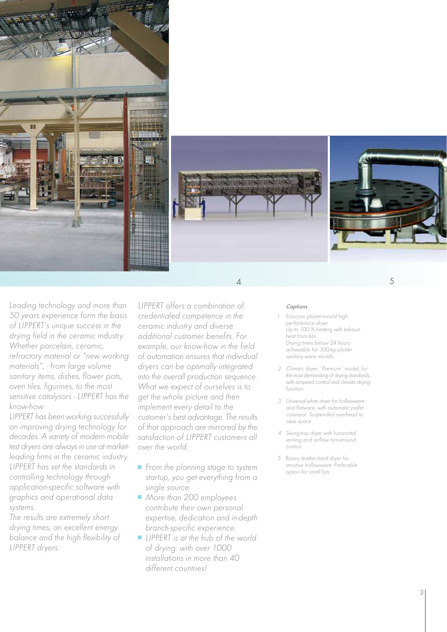



Leading technology and more than 50 years experience form the basis of LIPPERT's unique success in the drying field in the ceramic industry. Whether porcelain, ceramic, refractory material or "new working materials", - from large volume sanitary items, dishes, flower pots, oven tiles, figurines, to the most sensitive catalysors - LIPPERT has the know-how.

LIPPERT has been working successfully on improving drying technology for decades. A variety of modern mobile test dryers are always in use at marketleading firms in the ceramic industry. LIPPERT has set the standards in controlling technology through application-specific software with graphics and operational data systems.

The results are extremely short drying times, an excellent energy balance and the high flexibility of LIPPERT dryers.

LIPPERT offers a combination of credentialed competence in the ceramic industry and diverse additional customer benefits. For example, our know-how in the field of automation ensures that individual dryers can be optimally integrated into the overall production sequence. What we expect of ourselves is to get the whole picture and then implement every detail to the customer's best advantage. The results of that approach are mirrored by the satisfaction of LIPPERT customers all over the world.

- $\blacksquare$  From the planning stage to system startup, you get everything from a single source.
- More than 200 employees contribute their own personal expertise, dedication and in-depth branch-specific experience.
- **LIPPERT** is at the hub of the world of drying: with over 1000 installations in more than 40 different countries!

#### **Captions**

Eco-core plaster-mould highperformance dryer. Up to 100 % heating with exhaust heat from kiln. Drying times below 24 hours achievable for 300-kg plaster sanitary ware moulds.

 $4\overline{5}$ 

- 2 Climatic dryer, "Premium" model, for the most demanding of drying standards, with airspeed control and climatic drying function.
- 3 Universal white dryer for hollowware and flatware, with automatic pallet conveyor. Suspended overhead to save space.
- 4 Swing-tray dryer with horizontal venting and airflow turn-around contro
- 5 Rotary leather-hard dryer for sensitive hollowware. Preferable option for small lots.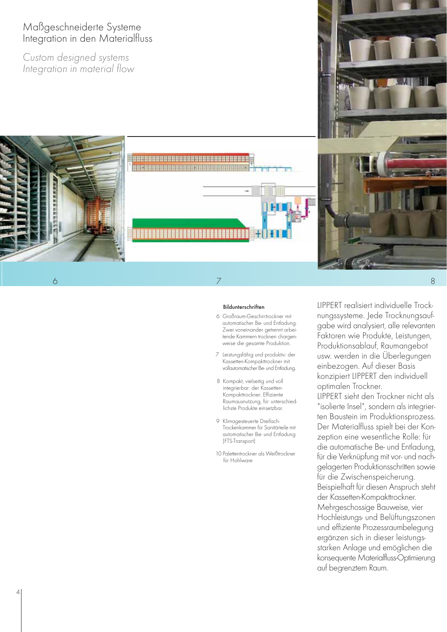# Maßgeschneiderte Systeme Integration in den Materialfluss

Custom designed systems Integration in material flow



#### **Bildunterschriften**

- 6 Großraum-Geschirrtrockner mit automatischer Be- und Entladung. Zwei voneinander getrennt arbeitende Kammern trocknen chargenweise die gesamte Produktion.
- 7 Leistungsfähig und produktiv: der Kassetten-Kompakttrockner mit vollautomatischer Be- und Entladung.
- 8 Kompakt, vielseitig und voll integrierbar: der Kassetten-Kompakttrockner. Effiziente Raumausnutzung, für unterschiedlichste Produkte einsetzbar.
- 9 Klimagesteuerte Dreifach-Trockenkammer für Sanitärteile mit automatischer Be- und Entladung (FTS-Transport)
- 10 Palettentrockner als Weißtrockner für Hohlware

LIPPERT realisiert individuelle Trocknungssysteme. Jede Trocknungsaufgabe wird analysiert, alle relevanten Faktoren wie Produkte, Leistungen, Produktionsablauf, Raumangebot usw. werden in die Überlegungen einbezogen. Auf dieser Basis konzipiert LIPPERT den individuell optimalen Trockner.

LIPPERT sieht den Trockner nicht als "isolierte Insel", sondern als integrierten Baustein im Produktionsprozess. Der Materialfluss spielt bei der Konzeption eine wesentliche Rolle: für die automatische Be- und Entladung, für die Verknüpfung mit vor- und nachgelagerten Produktionsschritten sowie für die Zwischenspeicherung. Beispielhaft für diesen Anspruch steht der Kassetten-Kompakttrockner. Mehrgeschossige Bauweise, vier Hochleistungs- und Belüftungszonen und effiziente Prozessraumbelegung ergänzen sich in dieser leistungsstarken Anlage und emöglichen die konsequente Materialfluss-Optimierung auf begrenztem Raum.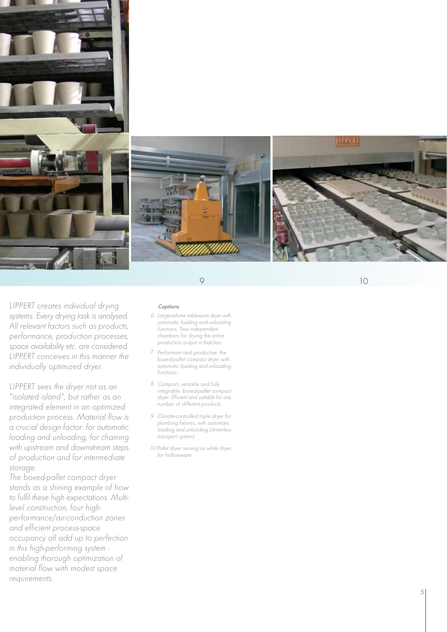

10

LIPPERT creates individual drying systems. Every drying task is analysed. All relevant factors such as products, performance, production processes, space availability etc. are considered. LIPPERT conceives in this manner the individually optimized dryer.

LIPPERT sees the dryer not as an "isolated island", but rather as an integrated element in an optimized production process. Material flow is a crucial design factor: for automatic loading and unloading, for chaining with upstream and downstream steps of production and for intermediate storage.

The boxed-pallet compact dryer stands as a shining example of how to fulfil these high expectations. Multilevel construction, four highperformance/air-conduction zones and efficient process-space occupancy all add up to perfection in this high-performing system enabling thorough optimization of material flow with modest space requirements.

#### **Captions**

- 6 Large-volume tableware dryer with automatic loading and unloading functions. Two independent chambers for drying the entire production output in batches.
- 7 Performant and productive: the boxed-pallet compact dryer with automatic loading and unloading functions.
- 8 Compact, versatile and fully integrable: boxed-pallet compact dryer. Efficient and suitable for any number of different products.
- 9 Climate-controlled triple dryer for plumbing fixtures, with automatic loading and unloading (driverless transport system)
- 10 Pallet dryer serving as white dryer for hollowware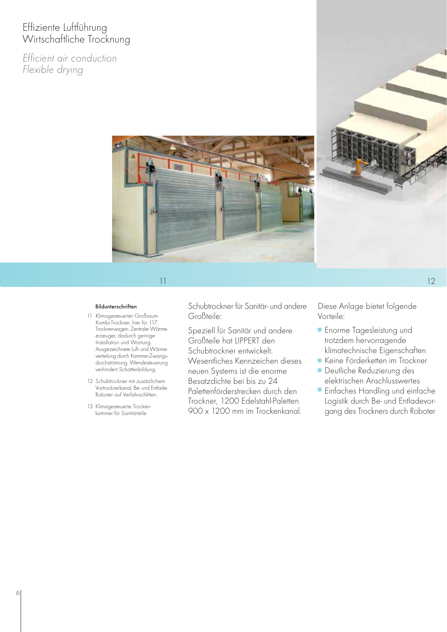# Effiziente Luftführung Wirtschaftliche Trocknung

Efficient air conduction Flexible drying





## $11$  12

- 11 Klimagesteuerter Großraum-Kombi-Trockner, hier für 117 Trocknerwagen. Zentraler Wärmeerzeuger, dadurch geringe Installation und Wartung. Ausgezeichnete Luft- und Wärmeverteilung durch Kammer-Zwangsdurchströmung. Wendesteuerung verhindert Schattenbildung.
- 12 Schubtrockner mit zusätzlichem Vortrocknerkanal, Be- und Entlade-Roboter auf Verfahrschlitten.
- 13 Klimagesteuerte Trockenkammer für Sanitärteile

Bildunterschriften Schubtrockner für Sanitär- und andere Großteile:

> Speziell für Sanitär und andere Großteile hat LIPPERT den Schubtrockner entwickelt. Wesentliches Kennzeichen dieses neuen Systems ist die enorme Besatzdichte bei bis zu 24 Palettenförderstrecken durch den Trockner, 1200 Edelstahl-Paletten 900 x 1200 mm im Trockenkanal.

Diese Anlage bietet folgende Vorteile:

- **Enorme Tagesleistung und** trotzdem hervorragende klimatechnische Eigenschaften
- Keine Förderketten im Trockner
- **Deutliche Reduzierung des** elektrischen Anschlusswertes
- **Einfaches Handling und einfache** Logistik durch Be- und Entladevorgang des Trockners durch Roboter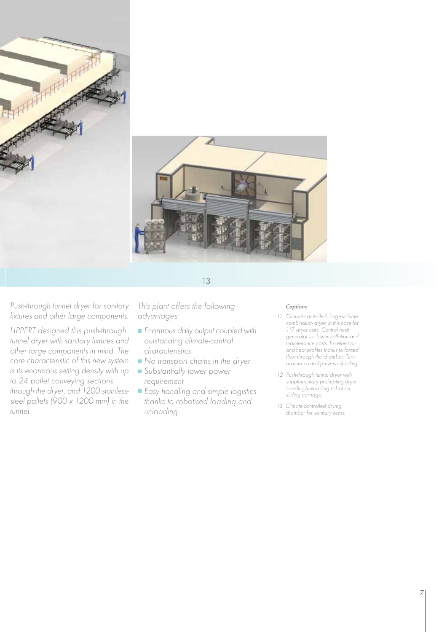

Push-through tunnel dryer for sanitary This plant offers the following captions fixtures and other large components:

LIPPERT designed this push-through tunnel dryer with sanitary fixtures and other large components in mind. The core characteristic of this new system is its enormous setting density with up to 24 pallet conveying sections through the dryer, and 1200 stainlesssteel pallets (900 x 1200 mm) in the tunnel.

This plant offers the following advantages:

- **Enormous daily output coupled with** outstanding climate-control characteristics
- No transport chains in the dryer
- Substantially lower power requirement
- Easy handling and simple logistics thanks to robotised loading and unloading

- 11 Climate-controlled, large-volume combination dryer, in this case for 117 dryer cars. Central heat generator for low installation and maintenance costs. Excellent air and heat profiles thanks to forced flow through the chamber. Turnaround control prevents shading.
- 12 Push-through tunnel dryer with supplementary preheating dryer. Loading/unloading robot on sliding carriage.
- 13 Climate-controlled drying chamber for sanitary items.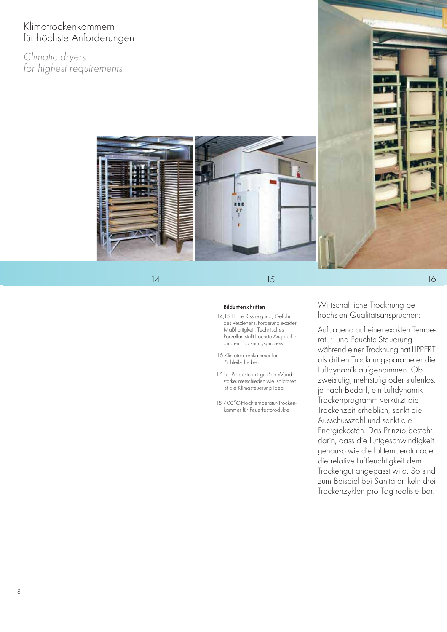# Klimatrockenkammern für höchste Anforderungen

Climatic dryers for highest requirements



14 15 16 15

#### Bildunterschriften

- 14,15 Hohe Rissneigung, Gefahr des Verziehens, Forderung exakter Maßhaltigkeit: Technisches Porzellan stellt höchste Ansprüche an den Trocknungsprozess.
- 16 Klimatrockenkammer für Schleifscheiben
- 17 Für Produkte mit großen Wandstärkeunterschieden wie Isolatoren ist die Klimasteuerung ideal
- 18 400°C-Hochtemperatur-Trockenkammer für Feuerfestprodukte

# Wirtschaftliche Trocknung bei höchsten Qualitätsansprüchen:

Aufbauend auf einer exakten Temperatur- und Feuchte-Steuerung während einer Trocknung hat LIPPERT als dritten Trocknungsparameter die Luftdynamik aufgenommen. Ob zweistufig, mehrstufig oder stufenlos, je nach Bedarf, ein Luftdynamik-Trockenprogramm verkürzt die Trockenzeit erheblich, senkt die Ausschusszahl und senkt die Energiekosten. Das Prinzip besteht darin, dass die Luftgeschwindigkeit genauso wie die Lufttemperatur oder die relative Luftfeuchtigkeit dem Trockengut angepasst wird. So sind zum Beispiel bei Sanitärartikeln drei Trockenzyklen pro Tag realisierbar.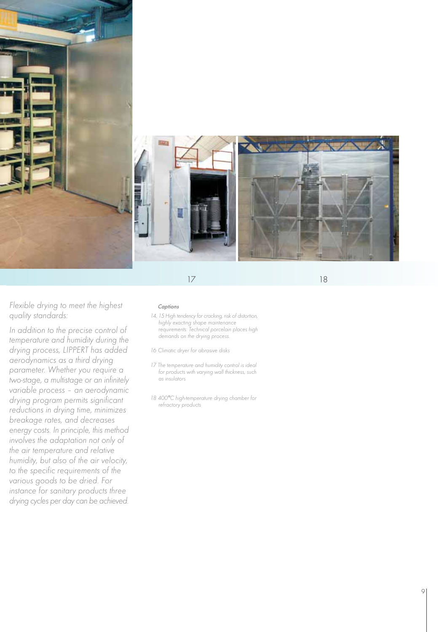

18

Flexible drying to meet the highest quality standards:

In addition to the precise control of temperature and humidity during the drying process, LIPPERT has added aerodynamics as a third drying parameter. Whether you require a two-stage, a multistage or an infinitely variable process – an aerodynamic drying program permits significant reductions in drying time, minimizes breakage rates, and decreases energy costs. In principle, this method involves the adaptation not only of the air temperature and relative humidity, but also of the air velocity, to the specific requirements of the various goods to be dried. For instance for sanitary products three drying cycles per day can be achieved.

#### **Captions**

14, 15 High tendency for cracking, risk of distortion, highly exacting shape maintenance requirements: Technical porcelain places high demands on the drying process.

16 Climatic dryer for abrasive disks

- 17 The temperature and humidity control is ideal for products with varying wall thickness, such as insulators
- 18 400 °C high-temperature drying chamber for refractory products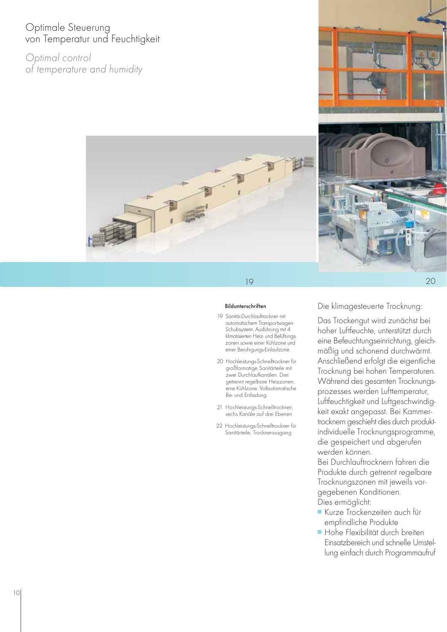# Optimale Steuerung von Temperatur und Feuchtigkeit

Optimal control of temperature and humidity





# 19

#### Bildunterschriften

- 19 Sanitär-Durchlauftrockner mit automatischem Transportwagen-Schubsystem. Ausführung mit 4 klimatisierten Heiz- und Belüftungszonen sowie einer Kühlzone und einer Beruhigungs-Einlaufzone.
- 20 Hochleistungs-Schnelltrockner für großformatige Sanitärteile mit zwei Durchlaufkanälen. Drei getrennt regelbare Heizzonen, eine Kühlzone. Vollautomatische Be- und Entladung.
- 21 Hochleistungs-Schnelltrockner; sechs Kanäle auf drei Ebenen
- 22 Hochleistungs-Schnelltrockner für Sanitärteile, Trocknerausgang

Die klimagesteuerte Trocknung:

Das Trockengut wird zunächst bei hoher Luftfeuchte, unterstützt durch eine Befeuchtungseinrichtung, gleichmäßig und schonend durchwärmt. Anschließend erfolgt die eigentliche Trocknung bei hohen Temperaturen. Während des gesamten Trocknungsprozesses werden Lufttemperatur, Luftfeuchtigkeit und Luftgeschwindigkeit exakt angepasst. Bei Kammertrocknern geschieht dies durch produktindividuelle Trocknungsprogramme, die gespeichert und abgerufen werden können.

Bei Durchlauftrocknern fahren die Produkte durch getrennt regelbare Trocknungszonen mit jeweils vorgegebenen Konditionen. Dies ermöglicht:

- Kurze Trockenzeiten auch für empfindliche Produkte
- **Hohe Flexibilität durch breiten** Einsatzbereich und schnelle Umstellung einfach durch Programmaufruf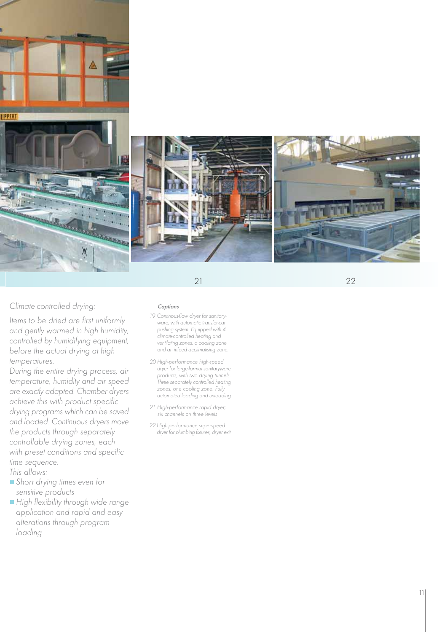

Climate-controlled drying:

Items to be dried are first uniformly and gently warmed in high humidity, controlled by humidifying equipment, before the actual drying at high temperatures.

During the entire drying process, air temperature, humidity and air speed are exactly adapted. Chamber dryers achieve this with product specific drying programs which can be saved and loaded. Continuous dryers move the products through separately controllable drying zones, each with preset conditions and specific time sequence.

- This allows:
- Short drying times even for sensitive products
- High flexibility through wide range application and rapid and easy alterations through program loading

### Captions

- 19 Continous-flow dryer for sanitaryware, with automatic transfer-car pushing system. Equipped with 4 climate-controlled heating and ventilating zones, a cooling zone and an infeed acclimatising zone.
- 20 High-performance high-speed dryer for large-format sanitaryware products, with two drying tunnels. Three separately controlled heating zones, one cooling zone. Fully automated loading and unloading
- 21 High-performance rapid dryer; six channels on three levels
- 22 High-performance superspeed dryer for plumbing fixtures, dryer exit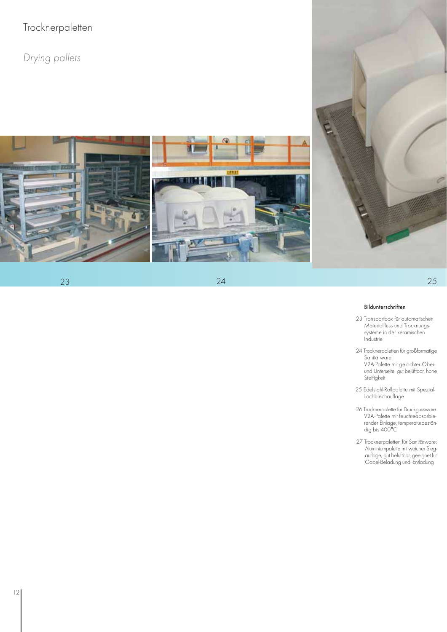# Trocknerpaletten

Drying pallets



23

 $24$  25



### Bildunterschriften

- 23 Transportbox für automatischen Materialfluss und Trocknungssysteme in der keramischen Industrie
- 24 Trocknerpaletten für großformatige Sanitärware: V2A-Palette mit gelochter Oberund Unterseite, gut belüftbar, hohe
- 25 Edelstahl-Rollpalette mit Spezial-Lochblechauflage

Steifigkeit

- 26 Trocknerpalette für Druckgussware: V2A-Palette mit feuchteabsorbie render Einlage, temperaturbeständig bis 400°C
- 27 Trocknerpaletten für Sanitärware: Aluminiumpalette mit weicher Stegauflage, gut belüftbar, geeignet für Gabel-Beladung und -Entladung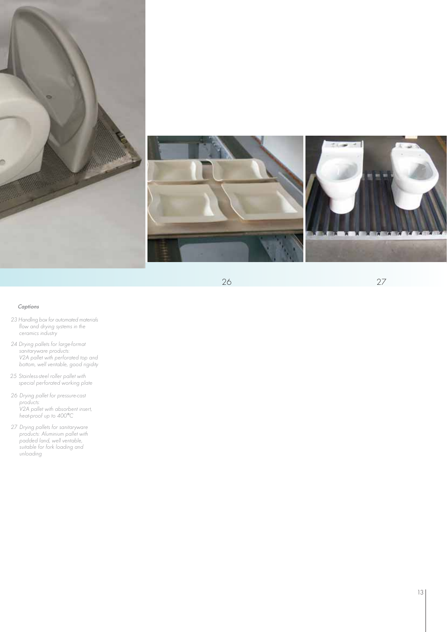



27

### Captions

- 23 Handling box for automated materials flow and drying systems in the ceramics industry
- 24 Drying pallets for large-format sanitaryware products: V2A pallet with perforated top and bottom, well ventable, good rigidity
- 25 Stainless-steel roller pallet with special perforated working plate
- 26 Drying pallet for pressure-cast products: V2A pallet with absorbent insert, heat-proof up to 400 ° C
- 27 Drying pallets for sanitaryware products: Aluminium pallet with padded land, well ventable, suitable for fork loading and unloading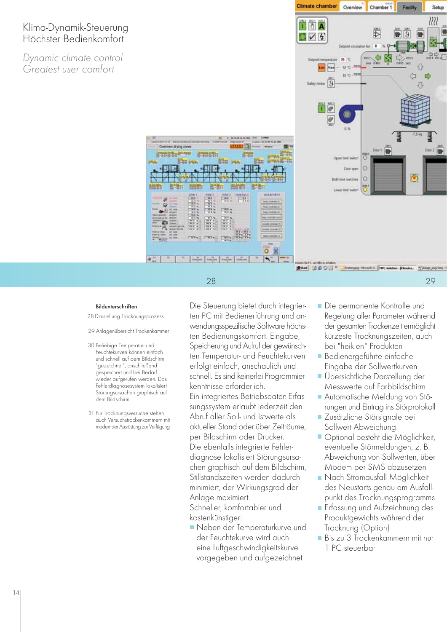# Klima-Dynamik-Steuerung Höchster Bedienkomfort

Dynamic climate control Greatest user comfort



#### Bildunterschriften

28 Darstellung Trocknungsprozess

#### 29 Anlagenübersicht Trockenkammer

- 30 Beliebige Temperatur- und Feuchtekurven können einfach und schnell auf dem Bildschirm "gezeichnet", anschließend gespeichert und bei Bedarf wieder aufgerufen werden. Das Fehlerdiagnosesystem lokalisiert Störungsursachen graphisch auf dem Bildschirm.
- 31 Für Trocknungsversuche stehen auch Versuchstrockenkammern mit modernster Ausrüstung zur Verfügung

Die Steuerung bietet durch integrierten PC mit Bedienerführung und anwendungsspezifische Software höchsten Bedienungskomfort. Eingabe, Speicherung und Aufruf der gewünschten Temperatur- und Feuchtekurven erfolgt einfach, anschaulich und schnell. Es sind keinerlei Programmierkenntnisse erforderlich. Ein integriertes Betriebsdaten-Erfassungssystem erlaubt jederzeit den Abruf aller Soll- und Istwerte als aktueller Stand oder über Zeiträume, per Bildschirm oder Drucker. Die ebenfalls integrierte Fehlerdiagnose lokalisiert Störungsursachen graphisch auf dem Bildschirm, Stillstandszeiten werden dadurch minimiert, der Wirkungsgrad der Anlage maximiert.

28

**BISBER** 

計劃

**EXH** 

 $-114$ 

Overview drying cones **通常性健康型性神经**  **FALLE** 

 $rac{\cos n\theta}{1-\theta}$ File 3 間

 $\overline{\mathbf{o}}$ 

素ww1 20 5 0 B

Schneller, komfortabler und kostenkünstiger:

Neben der Temperaturkurve und der Feuchtekurve wird auch eine Luftgeschwindigkeitskurve vorgegeben und aufgezeichnet

Die permanente Kontrolle und Regelung aller Parameter während der gesamten Trockenzeit ermöglicht kürzeste Trocknungszeiten, auch bei "heiklen" Produkten

29

- Bedienergeführte einfache Eingabe der Sollwertkurven
- Übersichtliche Darstellung der Messwerte auf Farbbildschirm
- Automatische Meldung von Störungen und Eintrag ins Störprotokoll
- Zusätzliche Störsignale bei Sollwert-Abweichung
- **Optional besteht die Möglichkeit,** eventuelle Störmeldungen, z. B. Abweichung von Sollwerten, über Modem per SMS abzusetzen
- Nach Stromausfall Möglichkeit des Neustarts genau am Ausfallpunkt des Trocknungsprogramms
- **E** Erfassung und Aufzeichnung des Produktgewichts während der Trocknung (Option)
- Bis zu 3 Trockenkammern mit nur 1 PC steuerbar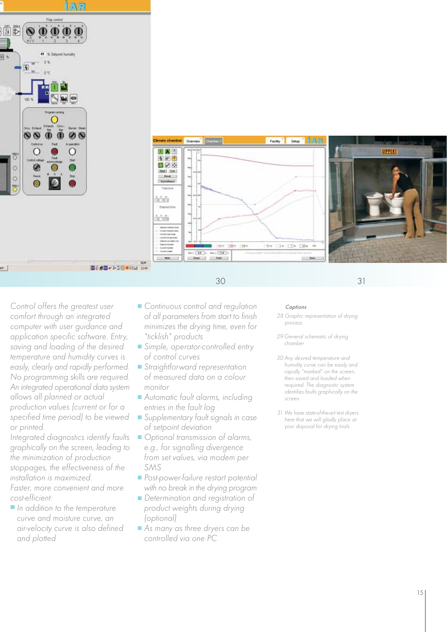



Control offers the greatest user comfort through an integrated computer with user guidance and application specific software. Entry, saving and loading of the desired temperature and humidity curves is easily, clearly and rapidly performed. No programming skills are required. An integrated operational data system allows all planned or actual production values (current or for a specified time period) to be viewed or printed.

Integrated diagnostics identify faults graphically on the screen, leading to the minimization of production stoppages, the effectiveness of the installation is maximized.

Faster, more convenient and more cost-efficient:

In addition to the temperature curve and moisture curve, an air-velocity curve is also defined and plotted

- Continuous control and regulation of all parameters from start to finish minimizes the drying time, even for "ticklish" products
- Simple, operator-controlled entry of control curves
- Straightforward representation of measured data on a colour monitor
- Automatic fault alarms, including entries in the fault log
- Supplementary fault signals in case of setpoint deviation
- Optional transmission of alarms, e.g., for signalling divergence from set values, via modem per SMS
- Post-power-failure restart potential with no break in the drying program
- Determination and registration of product weights during drying (optional)
- As many as three dryers can be controlled via one PC

#### Captions

30 31

- 28 Graphic representation of drying process
- 29 General schematic of drying chamber
- 30 Any desired temperature and humidity curve can be easily and rapidly "marked" on the screen, then saved and loaded when required. The diagnostic system identifies faults graphically on the screen.
- 31 We have state-of-the-art test dryers here that we will gladly place at your disposal for drying trials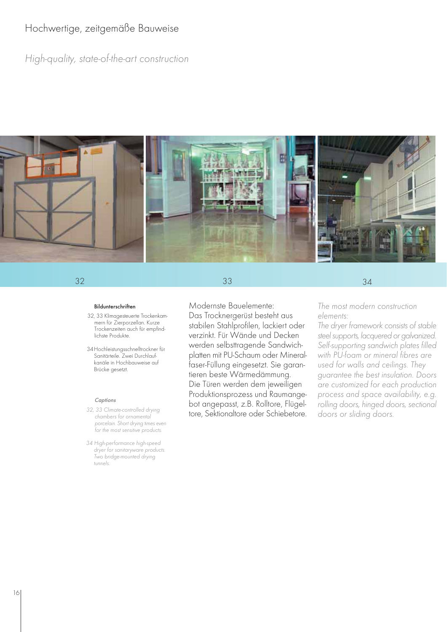# Hochwertige, zeitgemäße Bauweise

High-quality, state-of-the-art construction



33

## 32 34

Bildunterschriften

- 32, 33 Klimagesteuerte Trockenkammern für Zierporzellan. Kurze Trockenzeiten auch für empfindlichste Produkte.
- 34Hochleistungsschnelltrockner für Sanitärteile. Zwei Durchlaufkanäle in Hochbauweise auf Brücke gesetzt.

#### Captions

- chambers for ornamental porcelain. Short drying times even for the most sensitive products.
- 34 High-performance high-speed dryer for sanitaryware products. Two bridge-mounted drying tunnels.

Modernste Bauelemente: Das Trocknergerüst besteht aus stabilen Stahlprofilen, lackiert oder verzinkt. Für Wände und Decken werden selbsttragende Sandwichplatten mit PU-Schaum oder Mineralfaser-Füllung eingesetzt. Sie garantieren beste Wärmedämmung. Die Türen werden dem jeweiligen Produktionsprozess und Raumangebot angepasst, z.B. Rolltore, Flügeltore, Sektionaltore oder Schiebetore. 32, 33 Climate-controlled drying

The most modern construction elements:

The dryer framework consists of stable steel supports, lacquered or galvanized. Self-supporting sandwich plates filled with PU-foam or mineral fibres are used for walls and ceilings. They guarantee the best insulation. Doors are customized for each production process and space availability, e.g. rolling doors, hinged doors, sectional doors or sliding doors.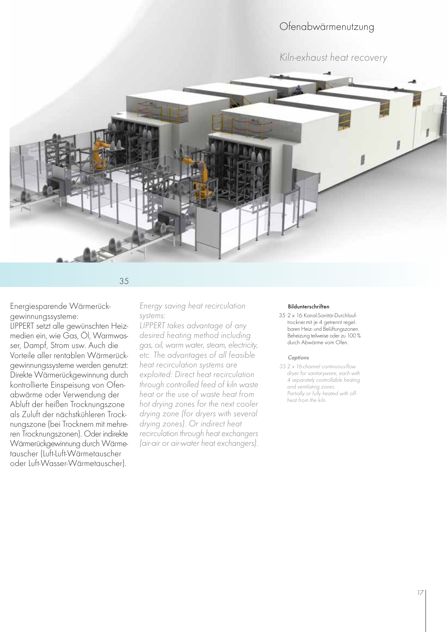# Ofenabwärmenutzung

Kiln-exhaust heat recovery



35

Energiesparende Wärmerückgewinnungssysteme:

LIPPERT setzt alle gewünschten Heizmedien ein, wie Gas, Öl, Warmwasser, Dampf, Strom usw. Auch die Vorteile aller rentablen Wärmerückgewinnungssysteme werden genutzt: Direkte Wärmerückgewinnung durch kontrollierte Einspeisung von Ofenabwärme oder Verwendung der Abluft der heißen Trocknungszone als Zuluft der nächstkühleren Trocknungszone (bei Trocknern mit mehreren Trocknungszonen). Oder indirekte Wärmerückgewinnung durch Wärmetauscher (Luft-Luft-Wärmetauscher oder Luft-Wasser-Wärmetauscher).

Energy saving heat recirculation systems:

LIPPERT takes advantage of any desired heating method including gas, oil, warm water, steam, electricity, etc. The advantages of all feasible heat recirculation systems are exploited: Direct heat recirculation through controlled feed of kiln waste heat or the use of waste heat from hot drying zones for the next cooler drying zone (for dryers with several drying zones). Or indirect heat recirculation through heat exchangers (air-air or air-water heat exchangers).

#### Bildunterschriften

35 2 x 16 Kanal-Sanitär-Durchlauftrocknermit je 4 getrennt regelbaren Heiz- und Belüftungszonen. Beheizung teilweise oder zu 100 % durch Abwärme vom Ofen.

#### Captions

35 2 x 16-channel continuous-flow dryer for sanitaryware, each with 4 separately controllable heating and ventilating zones. Partially or fully heated with offheat from the kiln.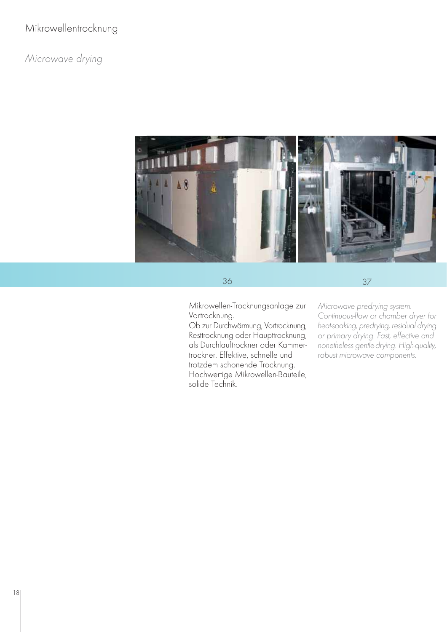# Mikrowellentrocknung

# Microwave drying



36

37

Mikrowellen-Trocknungsanlage zur Vortrocknung.

Ob zur Durchwärmung, Vortrocknung, Resttrocknung oder Haupttrocknung, als Durchlauftrockner oder Kammertrockner. Effektive, schnelle und trotzdem schonende Trocknung. Hochwertige Mikrowellen-Bauteile,

solide Technik.

Microwave predrying system. Continuous-flow or chamber dryer for heat-soaking, predrying, residual drying or primary drying. Fast, effective and nonetheless gentle-drying. High-quality, robust microwave components.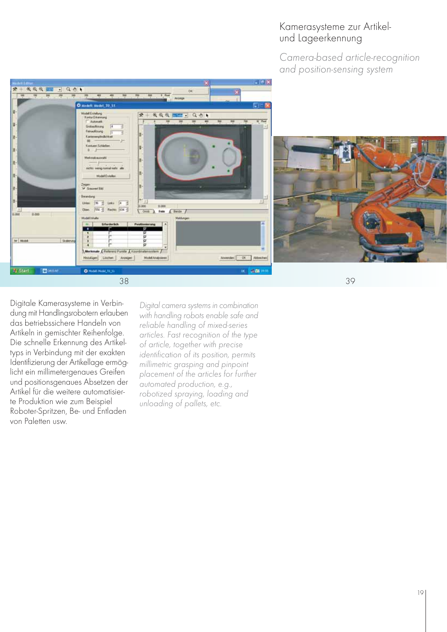# Kamerasysteme zur Artikelund Lageerkennung

Camera-based article-recognition and position-sensing system





Digitale Kamerasysteme in Verbindung mit Handlingsrobotern erlauben das betriebssichere Handeln von Artikeln in gemischter Reihenfolge. Die schnelle Erkennung des Artikeltyps in Verbindung mit der exakten Identifizierung der Artikellage ermöglicht ein millimetergenaues Greifen und positionsgenaues Absetzen der Artikel für die weitere automatisierte Produktion wie zum Beispiel Roboter-Spritzen, Be- und Entladen von Paletten usw.

Digital camera systems in combination with handling robots enable safe and reliable handling of mixed-series articles. Fast recognition of the type of article, together with precise identification of its position, permits millimetric grasping and pinpoint placement of the articles for further automated production, e.g., robotized spraying, loading and unloading of pallets, etc.

39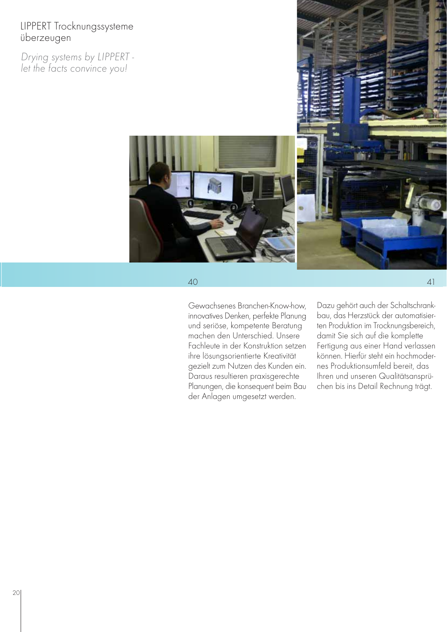# LIPPERT Trocknungssysteme überzeugen

Drying systems by LIPPERT let the facts convince you!



40

Gewachsenes Branchen-Know-how, innovatives Denken, perfekte Planung und seriöse, kompetente Beratung machen den Unterschied. Unsere Fachleute in der Konstruktion setzen ihre lösungsorientierte Kreativität gezielt zum Nutzen des Kunden ein. Daraus resultieren praxisgerechte Planungen, die konsequent beim Bau der Anlagen umgesetzt werden.

Dazu gehört auch der Schaltschrankbau, das Herzstück der automatisierten Produktion im Trocknungsbereich, damit Sie sich auf die komplette Fertigung aus einer Hand verlassen können. Hierfür steht ein hochmodernes Produktionsumfeld bereit, das Ihren und unseren Qualitätsansprüchen bis ins Detail Rechnung trägt.

41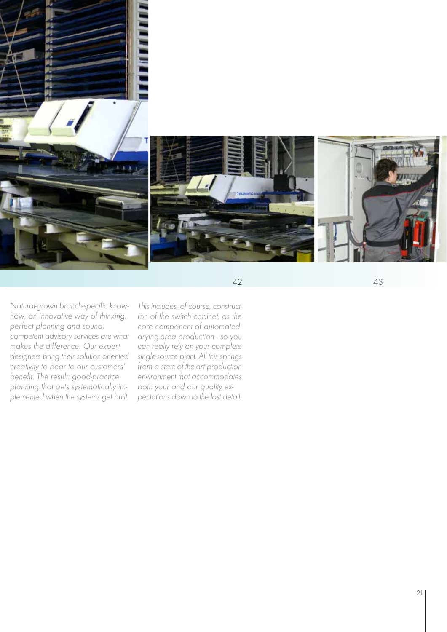

Natural-grown branch-specific knowhow, an innovative way of thinking, perfect planning and sound, competent advisory services are what makes the difference. Our expert designers bring their solution-oriented creativity to bear to our customers' benefit. The result: good-practice planning that gets systematically implemented when the systems get built.

This includes, of course, construction of the switch cabinet, as the core component of automated drying-area production - so you can really rely on your complete single-source plant. All this springs from a state-of-the-art production environment that accommodates both your and our quality expectations down to the last detail.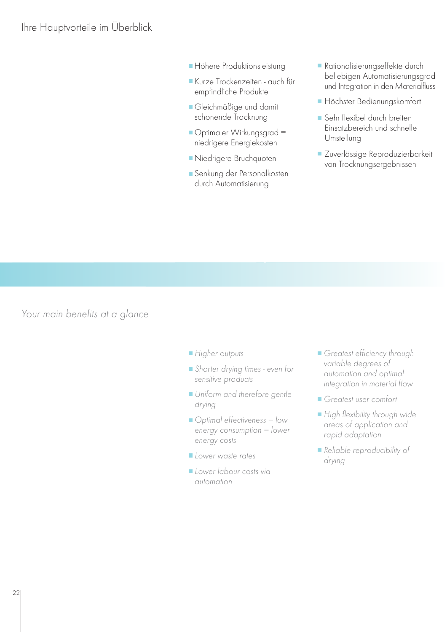- **Höhere Produktionsleistung**
- Kurze Trockenzeiten auch für empfindliche Produkte
- Gleichmäßige und damit schonende Trocknung
- Optimaler Wirkungsgrad = niedrigere Energiekosten
- Niedrigere Bruchquoten
- **Senkung der Personalkosten** durch Automatisierung
- Rationalisierungseffekte durch beliebigen Automatisierungsgrad und Integration in den Materialfluss
- Höchster Bedienungskomfort
- Sehr flexibel durch breiten Einsatzbereich und schnelle Umstellung
- **Zuverlässige Reproduzierbarkeit** von Trocknungsergebnissen

Your main benefits at a glance

- Higher outputs
- Shorter drying times even for sensitive products
- Uniform and therefore gentle drying
- $\Box$  Optimal effectiveness = low energy consumption = lower energy costs
- Lower waste rates
- Lower labour costs via automation
- Greatest efficiency through variable degrees of automation and optimal integration in material flow
- Greatest user comfort
- High flexibility through wide areas of application and rapid adaptation
- Reliable reproducibility of drying